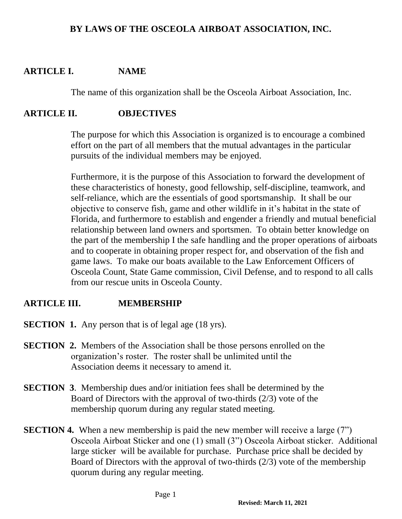#### **BY LAWS OF THE OSCEOLA AIRBOAT ASSOCIATION, INC.**

### **ARTICLE I. NAME**

The name of this organization shall be the Osceola Airboat Association, Inc.

#### **ARTICLE II. OBJECTIVES**

The purpose for which this Association is organized is to encourage a combined effort on the part of all members that the mutual advantages in the particular pursuits of the individual members may be enjoyed.

Furthermore, it is the purpose of this Association to forward the development of these characteristics of honesty, good fellowship, self-discipline, teamwork, and self-reliance, which are the essentials of good sportsmanship. It shall be our objective to conserve fish, game and other wildlife in it's habitat in the state of Florida, and furthermore to establish and engender a friendly and mutual beneficial relationship between land owners and sportsmen. To obtain better knowledge on the part of the membership I the safe handling and the proper operations of airboats and to cooperate in obtaining proper respect for, and observation of the fish and game laws. To make our boats available to the Law Enforcement Officers of Osceola Count, State Game commission, Civil Defense, and to respond to all calls from our rescue units in Osceola County.

## **ARTICLE III. MEMBERSHIP**

- **SECTION 1.** Any person that is of legal age (18 yrs).
- **SECTION 2.** Members of the Association shall be those persons enrolled on the organization's roster. The roster shall be unlimited until the Association deems it necessary to amend it.
- **SECTION 3**. Membership dues and/or initiation fees shall be determined by the Board of Directors with the approval of two-thirds (2/3) vote of the membership quorum during any regular stated meeting.
- **SECTION 4.** When a new membership is paid the new member will receive a large (7") Osceola Airboat Sticker and one (1) small (3") Osceola Airboat sticker. Additional large sticker will be available for purchase. Purchase price shall be decided by Board of Directors with the approval of two-thirds (2/3) vote of the membership quorum during any regular meeting.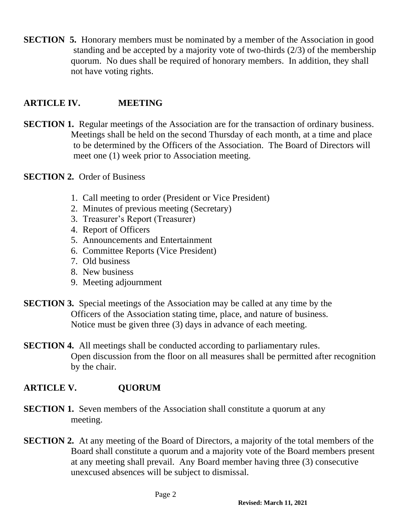**SECTION 5.** Honorary members must be nominated by a member of the Association in good standing and be accepted by a majority vote of two-thirds (2/3) of the membership quorum. No dues shall be required of honorary members. In addition, they shall not have voting rights.

### **ARTICLE IV. MEETING**

**SECTION 1.** Regular meetings of the Association are for the transaction of ordinary business. Meetings shall be held on the second Thursday of each month, at a time and place to be determined by the Officers of the Association. The Board of Directors will meet one (1) week prior to Association meeting.

#### **SECTION 2.** Order of Business

- 1. Call meeting to order (President or Vice President)
- 2. Minutes of previous meeting (Secretary)
- 3. Treasurer's Report (Treasurer)
- 4. Report of Officers
- 5. Announcements and Entertainment
- 6. Committee Reports (Vice President)
- 7. Old business
- 8. New business
- 9. Meeting adjournment
- **SECTION 3.** Special meetings of the Association may be called at any time by the Officers of the Association stating time, place, and nature of business. Notice must be given three (3) days in advance of each meeting.

**SECTION 4.** All meetings shall be conducted according to parliamentary rules. Open discussion from the floor on all measures shall be permitted after recognition by the chair.

#### **ARTICLE V. QUORUM**

- **SECTION 1.** Seven members of the Association shall constitute a quorum at any meeting.
- **SECTION 2.** At any meeting of the Board of Directors, a majority of the total members of the Board shall constitute a quorum and a majority vote of the Board members present at any meeting shall prevail. Any Board member having three (3) consecutive unexcused absences will be subject to dismissal.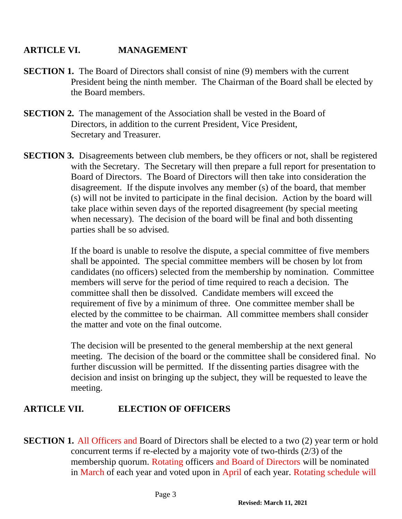## **ARTICLE VI. MANAGEMENT**

- **SECTION 1.** The Board of Directors shall consist of nine (9) members with the current President being the ninth member. The Chairman of the Board shall be elected by the Board members.
- **SECTION 2.** The management of the Association shall be vested in the Board of Directors, in addition to the current President, Vice President, Secretary and Treasurer.
- **SECTION 3.** Disagreements between club members, be they officers or not, shall be registered with the Secretary. The Secretary will then prepare a full report for presentation to Board of Directors. The Board of Directors will then take into consideration the disagreement. If the dispute involves any member (s) of the board, that member (s) will not be invited to participate in the final decision. Action by the board will take place within seven days of the reported disagreement (by special meeting when necessary). The decision of the board will be final and both dissenting parties shall be so advised.

If the board is unable to resolve the dispute, a special committee of five members shall be appointed. The special committee members will be chosen by lot from candidates (no officers) selected from the membership by nomination. Committee members will serve for the period of time required to reach a decision. The committee shall then be dissolved. Candidate members will exceed the requirement of five by a minimum of three. One committee member shall be elected by the committee to be chairman. All committee members shall consider the matter and vote on the final outcome.

The decision will be presented to the general membership at the next general meeting. The decision of the board or the committee shall be considered final. No further discussion will be permitted. If the dissenting parties disagree with the decision and insist on bringing up the subject, they will be requested to leave the meeting.

## **ARTICLE VII. ELECTION OF OFFICERS**

**SECTION 1.** All Officers and Board of Directors shall be elected to a two (2) year term or hold concurrent terms if re-elected by a majority vote of two-thirds (2/3) of the membership quorum. Rotating officers and Board of Directors will be nominated in March of each year and voted upon in April of each year. Rotating schedule will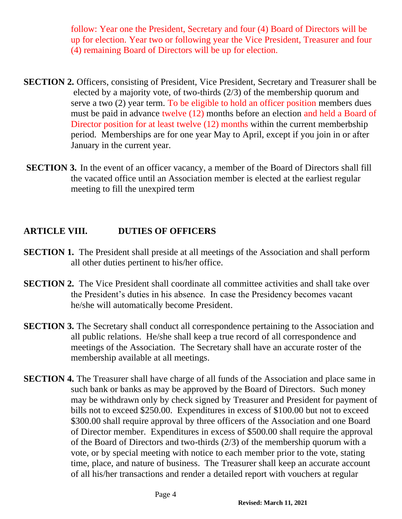follow: Year one the President, Secretary and four (4) Board of Directors will be up for election. Year two or following year the Vice President, Treasurer and four (4) remaining Board of Directors will be up for election.

- **SECTION 2.** Officers, consisting of President, Vice President, Secretary and Treasurer shall be elected by a majority vote, of two-thirds (2/3) of the membership quorum and serve a two (2) year term. To be eligible to hold an officer position members dues must be paid in advance twelve (12) months before an election and held a Board of Director position for at least twelve (12) months within the current memberbship period. Memberships are for one year May to April, except if you join in or after January in the current year.
- **SECTION 3.** In the event of an officer vacancy, a member of the Board of Directors shall fill the vacated office until an Association member is elected at the earliest regular meeting to fill the unexpired term

# **ARTICLE VIII. DUTIES OF OFFICERS**

- **SECTION 1.** The President shall preside at all meetings of the Association and shall perform all other duties pertinent to his/her office.
- **SECTION 2.** The Vice President shall coordinate all committee activities and shall take over the President's duties in his absence. In case the Presidency becomes vacant he/she will automatically become President.
- **SECTION 3.** The Secretary shall conduct all correspondence pertaining to the Association and all public relations. He/she shall keep a true record of all correspondence and meetings of the Association. The Secretary shall have an accurate roster of the membership available at all meetings.
- **SECTION 4.** The Treasurer shall have charge of all funds of the Association and place same in such bank or banks as may be approved by the Board of Directors. Such money may be withdrawn only by check signed by Treasurer and President for payment of bills not to exceed \$250.00. Expenditures in excess of \$100.00 but not to exceed \$300.00 shall require approval by three officers of the Association and one Board of Director member. Expenditures in excess of \$500.00 shall require the approval of the Board of Directors and two-thirds (2/3) of the membership quorum with a vote, or by special meeting with notice to each member prior to the vote, stating time, place, and nature of business. The Treasurer shall keep an accurate account of all his/her transactions and render a detailed report with vouchers at regular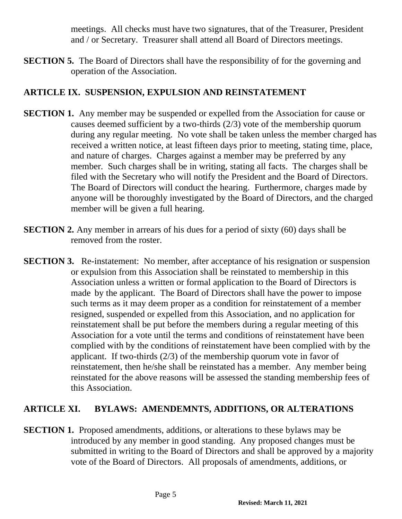meetings. All checks must have two signatures, that of the Treasurer, President and / or Secretary. Treasurer shall attend all Board of Directors meetings.

**SECTION 5.** The Board of Directors shall have the responsibility of for the governing and operation of the Association.

## **ARTICLE IX. SUSPENSION, EXPULSION AND REINSTATEMENT**

- **SECTION 1.** Any member may be suspended or expelled from the Association for cause or causes deemed sufficient by a two-thirds (2/3) vote of the membership quorum during any regular meeting. No vote shall be taken unless the member charged has received a written notice, at least fifteen days prior to meeting, stating time, place, and nature of charges. Charges against a member may be preferred by any member. Such charges shall be in writing, stating all facts. The charges shall be filed with the Secretary who will notify the President and the Board of Directors. The Board of Directors will conduct the hearing. Furthermore, charges made by anyone will be thoroughly investigated by the Board of Directors, and the charged member will be given a full hearing.
- **SECTION 2.** Any member in arrears of his dues for a period of sixty (60) days shall be removed from the roster.
- **SECTION 3.** Re-instatement: No member, after acceptance of his resignation or suspension or expulsion from this Association shall be reinstated to membership in this Association unless a written or formal application to the Board of Directors is made by the applicant. The Board of Directors shall have the power to impose such terms as it may deem proper as a condition for reinstatement of a member resigned, suspended or expelled from this Association, and no application for reinstatement shall be put before the members during a regular meeting of this Association for a vote until the terms and conditions of reinstatement have been complied with by the conditions of reinstatement have been complied with by the applicant. If two-thirds (2/3) of the membership quorum vote in favor of reinstatement, then he/she shall be reinstated has a member. Any member being reinstated for the above reasons will be assessed the standing membership fees of this Association.

# **ARTICLE XI. BYLAWS: AMENDEMNTS, ADDITIONS, OR ALTERATIONS**

**SECTION 1.** Proposed amendments, additions, or alterations to these bylaws may be introduced by any member in good standing. Any proposed changes must be submitted in writing to the Board of Directors and shall be approved by a majority vote of the Board of Directors. All proposals of amendments, additions, or